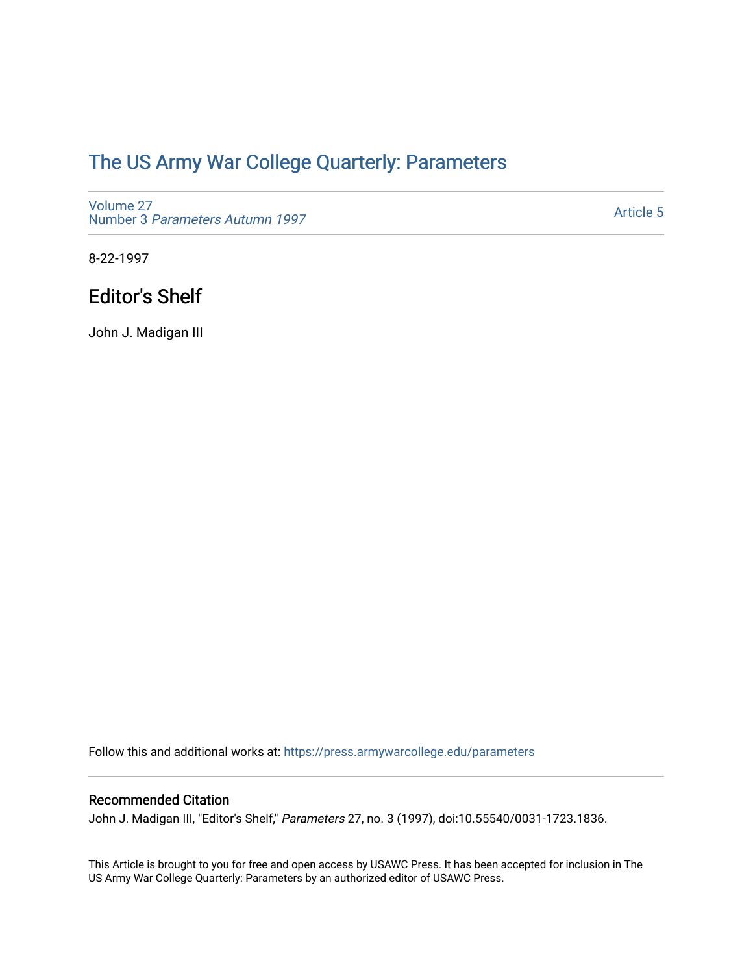## [The US Army War College Quarterly: Parameters](https://press.armywarcollege.edu/parameters)

[Volume 27](https://press.armywarcollege.edu/parameters/vol27) Number 3 [Parameters Autumn 1997](https://press.armywarcollege.edu/parameters/vol27/iss3)

[Article 5](https://press.armywarcollege.edu/parameters/vol27/iss3/5) 

8-22-1997

## Editor's Shelf

John J. Madigan III

Follow this and additional works at: [https://press.armywarcollege.edu/parameters](https://press.armywarcollege.edu/parameters?utm_source=press.armywarcollege.edu%2Fparameters%2Fvol27%2Fiss3%2F5&utm_medium=PDF&utm_campaign=PDFCoverPages) 

## Recommended Citation

John J. Madigan III, "Editor's Shelf," Parameters 27, no. 3 (1997), doi:10.55540/0031-1723.1836.

This Article is brought to you for free and open access by USAWC Press. It has been accepted for inclusion in The US Army War College Quarterly: Parameters by an authorized editor of USAWC Press.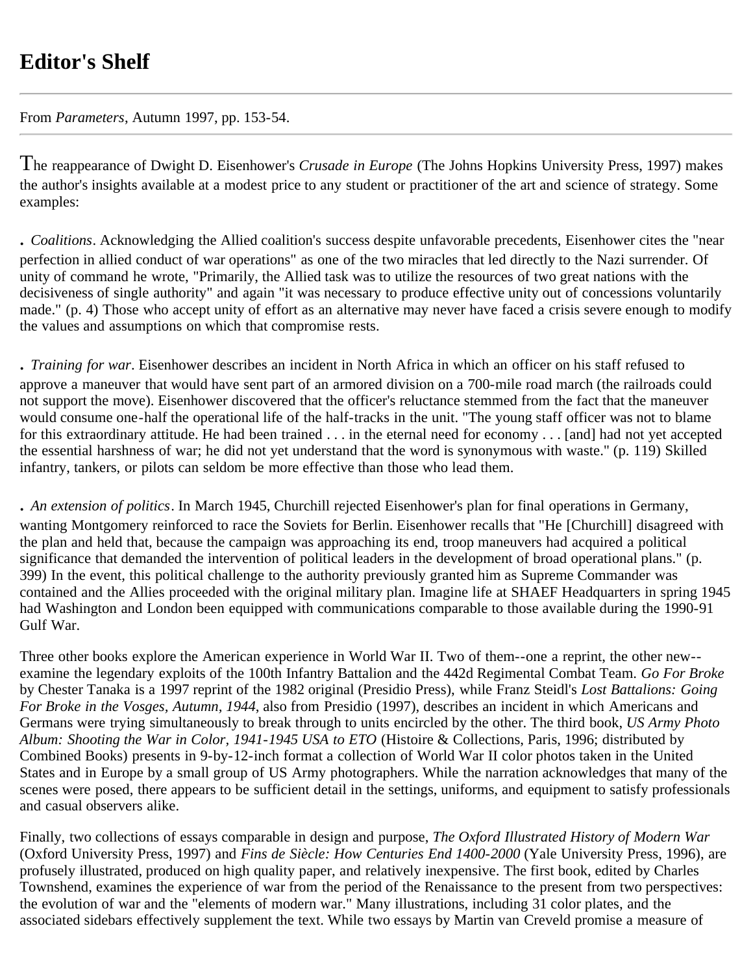## **Editor's Shelf**

From *Parameters*, Autumn 1997, pp. 153-54.

The reappearance of Dwight D. Eisenhower's *Crusade in Europe* (The Johns Hopkins University Press, 1997) makes the author's insights available at a modest price to any student or practitioner of the art and science of strategy. Some examples:

*. Coalitions*. Acknowledging the Allied coalition's success despite unfavorable precedents, Eisenhower cites the "near perfection in allied conduct of war operations" as one of the two miracles that led directly to the Nazi surrender. Of unity of command he wrote, "Primarily, the Allied task was to utilize the resources of two great nations with the decisiveness of single authority" and again "it was necessary to produce effective unity out of concessions voluntarily made." (p. 4) Those who accept unity of effort as an alternative may never have faced a crisis severe enough to modify the values and assumptions on which that compromise rests.

*. Training for war*. Eisenhower describes an incident in North Africa in which an officer on his staff refused to approve a maneuver that would have sent part of an armored division on a 700-mile road march (the railroads could not support the move). Eisenhower discovered that the officer's reluctance stemmed from the fact that the maneuver would consume one-half the operational life of the half-tracks in the unit. "The young staff officer was not to blame for this extraordinary attitude. He had been trained . . . in the eternal need for economy . . . [and] had not yet accepted the essential harshness of war; he did not yet understand that the word is synonymous with waste." (p. 119) Skilled infantry, tankers, or pilots can seldom be more effective than those who lead them.

*. An extension of politics*. In March 1945, Churchill rejected Eisenhower's plan for final operations in Germany, wanting Montgomery reinforced to race the Soviets for Berlin. Eisenhower recalls that "He [Churchill] disagreed with the plan and held that, because the campaign was approaching its end, troop maneuvers had acquired a political significance that demanded the intervention of political leaders in the development of broad operational plans." (p. 399) In the event, this political challenge to the authority previously granted him as Supreme Commander was contained and the Allies proceeded with the original military plan. Imagine life at SHAEF Headquarters in spring 1945 had Washington and London been equipped with communications comparable to those available during the 1990-91 Gulf War.

Three other books explore the American experience in World War II. Two of them--one a reprint, the other new- examine the legendary exploits of the 100th Infantry Battalion and the 442d Regimental Combat Team. *Go For Broke* by Chester Tanaka is a 1997 reprint of the 1982 original (Presidio Press), while Franz Steidl's *Lost Battalions: Going For Broke in the Vosges, Autumn, 1944*, also from Presidio (1997), describes an incident in which Americans and Germans were trying simultaneously to break through to units encircled by the other. The third book, *US Army Photo Album: Shooting the War in Color, 1941-1945 USA to ETO* (Histoire & Collections, Paris, 1996; distributed by Combined Books) presents in 9-by-12-inch format a collection of World War II color photos taken in the United States and in Europe by a small group of US Army photographers. While the narration acknowledges that many of the scenes were posed, there appears to be sufficient detail in the settings, uniforms, and equipment to satisfy professionals and casual observers alike.

Finally, two collections of essays comparable in design and purpose, *The Oxford Illustrated History of Modern War* (Oxford University Press, 1997) and *Fins de Siècle: How Centuries End 1400-2000* (Yale University Press, 1996), are profusely illustrated, produced on high quality paper, and relatively inexpensive. The first book, edited by Charles Townshend, examines the experience of war from the period of the Renaissance to the present from two perspectives: the evolution of war and the "elements of modern war." Many illustrations, including 31 color plates, and the associated sidebars effectively supplement the text. While two essays by Martin van Creveld promise a measure of